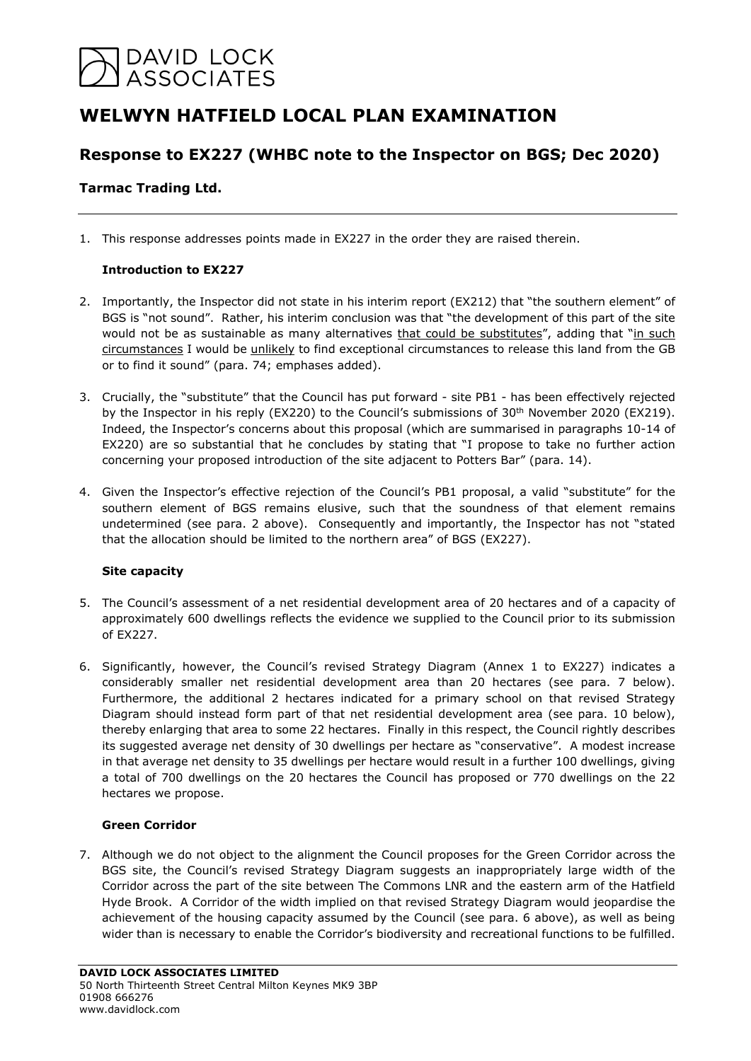# DAVID LOCK<br>ASSOCIATES

## **WELWYN HATFIELD LOCAL PLAN EXAMINATION**

### **Response to EX227 (WHBC note to the Inspector on BGS; Dec 2020)**

#### **Tarmac Trading Ltd.**

1. This response addresses points made in EX227 in the order they are raised therein.

#### **Introduction to EX227**

- 2. Importantly, the Inspector did not state in his interim report (EX212) that "the southern element" of BGS is "not sound". Rather, his interim conclusion was that "the development of this part of the site would not be as sustainable as many alternatives that could be substitutes", adding that "in such circumstances I would be unlikely to find exceptional circumstances to release this land from the GB or to find it sound" (para. 74; emphases added).
- 3. Crucially, the "substitute" that the Council has put forward site PB1 has been effectively rejected by the Inspector in his reply (EX220) to the Council's submissions of 30<sup>th</sup> November 2020 (EX219). Indeed, the Inspector's concerns about this proposal (which are summarised in paragraphs 10-14 of EX220) are so substantial that he concludes by stating that "I propose to take no further action concerning your proposed introduction of the site adjacent to Potters Bar" (para. 14).
- 4. Given the Inspector's effective rejection of the Council's PB1 proposal, a valid "substitute" for the southern element of BGS remains elusive, such that the soundness of that element remains undetermined (see para. 2 above). Consequently and importantly, the Inspector has not "stated that the allocation should be limited to the northern area" of BGS (EX227).

#### **Site capacity**

- 5. The Council's assessment of a net residential development area of 20 hectares and of a capacity of approximately 600 dwellings reflects the evidence we supplied to the Council prior to its submission of EX227.
- 6. Significantly, however, the Council's revised Strategy Diagram (Annex 1 to EX227) indicates a considerably smaller net residential development area than 20 hectares (see para. 7 below). Furthermore, the additional 2 hectares indicated for a primary school on that revised Strategy Diagram should instead form part of that net residential development area (see para. 10 below), thereby enlarging that area to some 22 hectares. Finally in this respect, the Council rightly describes its suggested average net density of 30 dwellings per hectare as "conservative". A modest increase in that average net density to 35 dwellings per hectare would result in a further 100 dwellings, giving a total of 700 dwellings on the 20 hectares the Council has proposed or 770 dwellings on the 22 hectares we propose.

#### **Green Corridor**

7. Although we do not object to the alignment the Council proposes for the Green Corridor across the BGS site, the Council's revised Strategy Diagram suggests an inappropriately large width of the Corridor across the part of the site between The Commons LNR and the eastern arm of the Hatfield Hyde Brook. A Corridor of the width implied on that revised Strategy Diagram would jeopardise the achievement of the housing capacity assumed by the Council (see para. 6 above), as well as being wider than is necessary to enable the Corridor's biodiversity and recreational functions to be fulfilled.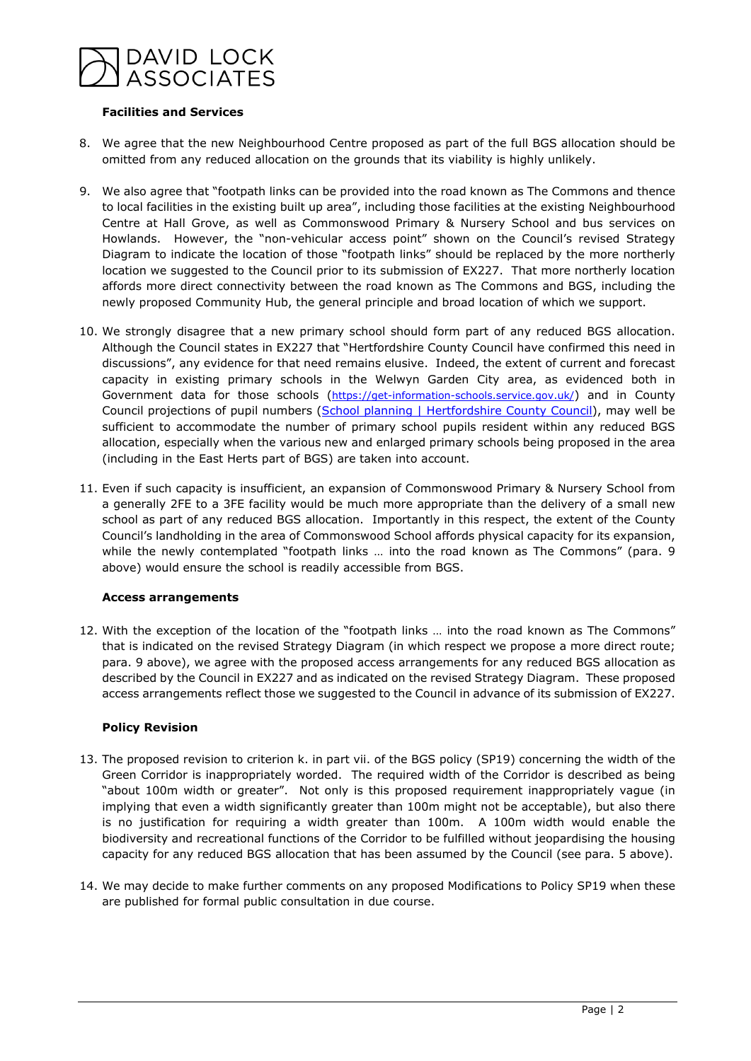

#### **Facilities and Services**

- 8. We agree that the new Neighbourhood Centre proposed as part of the full BGS allocation should be omitted from any reduced allocation on the grounds that its viability is highly unlikely.
- 9. We also agree that "footpath links can be provided into the road known as The Commons and thence to local facilities in the existing built up area", including those facilities at the existing Neighbourhood Centre at Hall Grove, as well as Commonswood Primary & Nursery School and bus services on Howlands. However, the "non-vehicular access point" shown on the Council's revised Strategy Diagram to indicate the location of those "footpath links" should be replaced by the more northerly location we suggested to the Council prior to its submission of EX227. That more northerly location affords more direct connectivity between the road known as The Commons and BGS, including the newly proposed Community Hub, the general principle and broad location of which we support.
- 10. We strongly disagree that a new primary school should form part of any reduced BGS allocation. Although the Council states in EX227 that "Hertfordshire County Council have confirmed this need in discussions", any evidence for that need remains elusive. Indeed, the extent of current and forecast capacity in existing primary schools in the Welwyn Garden City area, as evidenced both in Government data for those schools [\(https://get-information-schools.service.gov.uk/\)](https://get-information-schools.service.gov.uk/) and in County Council projections of pupil numbers [\(School planning | Hertfordshire County Council\)](https://www.hertfordshire.gov.uk/services/schools-and-education/at-school/school-planning/school-planning.aspx#DynamicJumpMenuManager_1_Anchor_2), may well be sufficient to accommodate the number of primary school pupils resident within any reduced BGS allocation, especially when the various new and enlarged primary schools being proposed in the area (including in the East Herts part of BGS) are taken into account.
- 11. Even if such capacity is insufficient, an expansion of Commonswood Primary & Nursery School from a generally 2FE to a 3FE facility would be much more appropriate than the delivery of a small new school as part of any reduced BGS allocation. Importantly in this respect, the extent of the County Council's landholding in the area of Commonswood School affords physical capacity for its expansion, while the newly contemplated "footpath links ... into the road known as The Commons" (para. 9 above) would ensure the school is readily accessible from BGS.

#### **Access arrangements**

12. With the exception of the location of the "footpath links … into the road known as The Commons" that is indicated on the revised Strategy Diagram (in which respect we propose a more direct route; para. 9 above), we agree with the proposed access arrangements for any reduced BGS allocation as described by the Council in EX227 and as indicated on the revised Strategy Diagram. These proposed access arrangements reflect those we suggested to the Council in advance of its submission of EX227.

#### **Policy Revision**

- 13. The proposed revision to criterion k. in part vii. of the BGS policy (SP19) concerning the width of the Green Corridor is inappropriately worded. The required width of the Corridor is described as being "about 100m width or greater". Not only is this proposed requirement inappropriately vague (in implying that even a width significantly greater than 100m might not be acceptable), but also there is no justification for requiring a width greater than 100m. A 100m width would enable the biodiversity and recreational functions of the Corridor to be fulfilled without jeopardising the housing capacity for any reduced BGS allocation that has been assumed by the Council (see para. 5 above).
- 14. We may decide to make further comments on any proposed Modifications to Policy SP19 when these are published for formal public consultation in due course.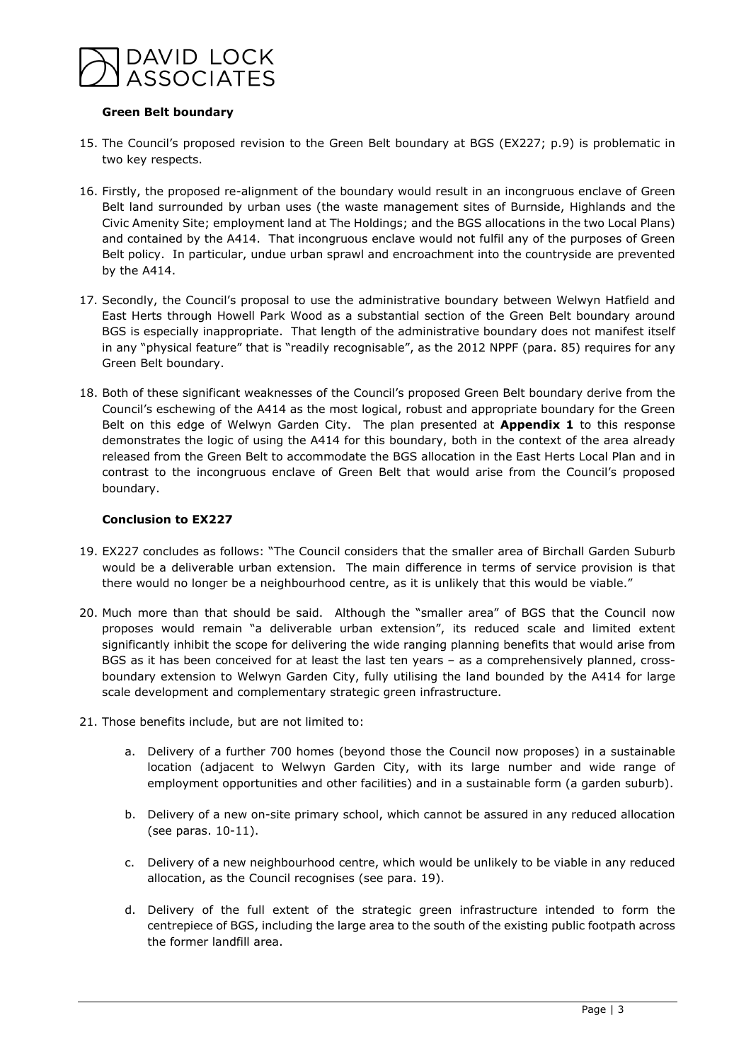

#### **Green Belt boundary**

- 15. The Council's proposed revision to the Green Belt boundary at BGS (EX227; p.9) is problematic in two key respects.
- 16. Firstly, the proposed re-alignment of the boundary would result in an incongruous enclave of Green Belt land surrounded by urban uses (the waste management sites of Burnside, Highlands and the Civic Amenity Site; employment land at The Holdings; and the BGS allocations in the two Local Plans) and contained by the A414. That incongruous enclave would not fulfil any of the purposes of Green Belt policy. In particular, undue urban sprawl and encroachment into the countryside are prevented by the A414.
- 17. Secondly, the Council's proposal to use the administrative boundary between Welwyn Hatfield and East Herts through Howell Park Wood as a substantial section of the Green Belt boundary around BGS is especially inappropriate. That length of the administrative boundary does not manifest itself in any "physical feature" that is "readily recognisable", as the 2012 NPPF (para. 85) requires for any Green Belt boundary.
- 18. Both of these significant weaknesses of the Council's proposed Green Belt boundary derive from the Council's eschewing of the A414 as the most logical, robust and appropriate boundary for the Green Belt on this edge of Welwyn Garden City. The plan presented at **Appendix 1** to this response demonstrates the logic of using the A414 for this boundary, both in the context of the area already released from the Green Belt to accommodate the BGS allocation in the East Herts Local Plan and in contrast to the incongruous enclave of Green Belt that would arise from the Council's proposed boundary.

#### **Conclusion to EX227**

- 19. EX227 concludes as follows: "The Council considers that the smaller area of Birchall Garden Suburb would be a deliverable urban extension. The main difference in terms of service provision is that there would no longer be a neighbourhood centre, as it is unlikely that this would be viable."
- 20. Much more than that should be said. Although the "smaller area" of BGS that the Council now proposes would remain "a deliverable urban extension", its reduced scale and limited extent significantly inhibit the scope for delivering the wide ranging planning benefits that would arise from BGS as it has been conceived for at least the last ten years – as a comprehensively planned, crossboundary extension to Welwyn Garden City, fully utilising the land bounded by the A414 for large scale development and complementary strategic green infrastructure.
- 21. Those benefits include, but are not limited to:
	- a. Delivery of a further 700 homes (beyond those the Council now proposes) in a sustainable location (adjacent to Welwyn Garden City, with its large number and wide range of employment opportunities and other facilities) and in a sustainable form (a garden suburb).
	- b. Delivery of a new on-site primary school, which cannot be assured in any reduced allocation (see paras. 10-11).
	- c. Delivery of a new neighbourhood centre, which would be unlikely to be viable in any reduced allocation, as the Council recognises (see para. 19).
	- d. Delivery of the full extent of the strategic green infrastructure intended to form the centrepiece of BGS, including the large area to the south of the existing public footpath across the former landfill area.